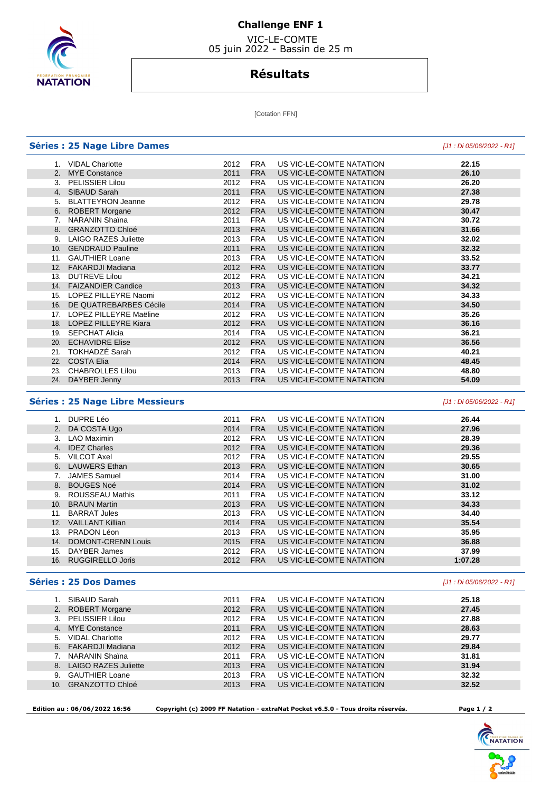

## **Challenge ENF 1**

 VIC-LE-COMTE 05 juin 2022 - Bassin de 25 m

# **Résultats**

[Cotation FFN]

|     | <b>Séries : 25 Nage Libre Dames</b> |      |            |                          | [J1 : Di 05/06/2022 - R1] |
|-----|-------------------------------------|------|------------|--------------------------|---------------------------|
| 1.  | <b>VIDAL Charlotte</b>              | 2012 | <b>FRA</b> | US VIC-LE-COMTE NATATION | 22.15                     |
| 2.  | <b>MYE Constance</b>                | 2011 | <b>FRA</b> | US VIC-LE-COMTE NATATION | 26.10                     |
|     | 3. PELISSIER Lilou                  | 2012 | <b>FRA</b> | US VIC-LE-COMTE NATATION | 26.20                     |
|     | 4. SIBAUD Sarah                     | 2011 | <b>FRA</b> | US VIC-LE-COMTE NATATION | 27.38                     |
| 5.  | <b>BLATTEYRON Jeanne</b>            | 2012 | <b>FRA</b> | US VIC-LE-COMTE NATATION | 29.78                     |
|     | 6. ROBERT Morgane                   | 2012 | <b>FRA</b> | US VIC-LE-COMTE NATATION | 30.47                     |
| 7.  | <b>NARANIN Shaina</b>               | 2011 | <b>FRA</b> | US VIC-LE-COMTE NATATION | 30.72                     |
| 8.  | <b>GRANZOTTO Chloé</b>              | 2013 | <b>FRA</b> | US VIC-LE-COMTE NATATION | 31.66                     |
| 9.  | <b>LAIGO RAZES Juliette</b>         | 2013 | <b>FRA</b> | US VIC-LE-COMTE NATATION | 32.02                     |
| 10. | <b>GENDRAUD Pauline</b>             | 2011 | <b>FRA</b> | US VIC-LE-COMTE NATATION | 32.32                     |
| 11. | <b>GAUTHIER Loane</b>               | 2013 | <b>FRA</b> | US VIC-LE-COMTE NATATION | 33.52                     |
|     | 12. FAKARDJI Madiana                | 2012 | <b>FRA</b> | US VIC-LE-COMTE NATATION | 33.77                     |
| 13. | <b>DUTREVE Lilou</b>                | 2012 | <b>FRA</b> | US VIC-LE-COMTE NATATION | 34.21                     |
|     | 14. FAIZANDIER Candice              | 2013 | <b>FRA</b> | US VIC-LE-COMTE NATATION | 34.32                     |
| 15. | LOPEZ PILLEYRE Naomi                | 2012 | <b>FRA</b> | US VIC-LE-COMTE NATATION | 34.33                     |
|     | 16. DE QUATREBARBES Cécile          | 2014 | <b>FRA</b> | US VIC-LE-COMTE NATATION | 34.50                     |
|     | 17. LOPEZ PILLEYRE Maëline          | 2012 | <b>FRA</b> | US VIC-LE-COMTE NATATION | 35.26                     |
|     | 18. LOPEZ PILLEYRE Kiara            | 2012 | <b>FRA</b> | US VIC-LE-COMTE NATATION | 36.16                     |
| 19. | <b>SEPCHAT Alicia</b>               | 2014 | <b>FRA</b> | US VIC-LE-COMTE NATATION | 36.21                     |
| 20. | <b>ECHAVIDRE Elise</b>              | 2012 | <b>FRA</b> | US VIC-LE-COMTE NATATION | 36.56                     |
| 21. | TOKHADZÉ Sarah                      | 2012 | <b>FRA</b> | US VIC-LE-COMTE NATATION | 40.21                     |
|     | 22. COSTA Elia                      | 2014 | <b>FRA</b> | US VIC-LE-COMTE NATATION | 48.45                     |
| 23. | <b>CHABROLLES Lilou</b>             | 2013 | FRA        | US VIC-LE-COMTE NATATION | 48.80                     |
| 24. | DAYBER Jenny                        | 2013 | <b>FRA</b> | US VIC-LE-COMTE NATATION | 54.09                     |
|     |                                     |      |            |                          |                           |

### **Séries : 25 Nage Libre Messieurs** [J1 : Di 05/06/2022 - R1]

|     | 1. DUPRE Léo              | 2011 | <b>FRA</b> | US VIC-LE-COMTE NATATION | 26.44   |
|-----|---------------------------|------|------------|--------------------------|---------|
|     | 2. DA COSTA Ugo           | 2014 | <b>FRA</b> | US VIC-LE-COMTE NATATION | 27.96   |
| 3.  | <b>LAO Maximin</b>        | 2012 | <b>FRA</b> | US VIC-LE-COMTE NATATION | 28.39   |
| 4.  | <b>IDEZ Charles</b>       | 2012 | <b>FRA</b> | US VIC-LE-COMTE NATATION | 29.36   |
| 5.  | VILCOT Axel               | 2012 | <b>FRA</b> | US VIC-LE-COMTE NATATION | 29.55   |
| 6.  | <b>LAUWERS Ethan</b>      | 2013 | <b>FRA</b> | US VIC-LE-COMTE NATATION | 30.65   |
|     | <b>JAMES Samuel</b>       | 2014 | <b>FRA</b> | US VIC-LE-COMTE NATATION | 31.00   |
| 8.  | <b>BOUGES Noé</b>         | 2014 | <b>FRA</b> | US VIC-LE-COMTE NATATION | 31.02   |
| 9.  | ROUSSEAU Mathis           | 2011 | <b>FRA</b> | US VIC-LE-COMTE NATATION | 33.12   |
| 10. | <b>BRAUN Martin</b>       | 2013 | <b>FRA</b> | US VIC-LE-COMTE NATATION | 34.33   |
| 11. | <b>BARRAT Jules</b>       | 2013 | <b>FRA</b> | US VIC-LE-COMTE NATATION | 34.40   |
| 12. | <b>VAILLANT Killian</b>   | 2014 | <b>FRA</b> | US VIC-LE-COMTE NATATION | 35.54   |
| 13. | PRADON Léon               | 2013 | <b>FRA</b> | US VIC-LE-COMTE NATATION | 35.95   |
| 14. | <b>DOMONT-CRENN Louis</b> | 2015 | <b>FRA</b> | US VIC-LE-COMTE NATATION | 36.88   |
| 15. | DAYBER James              | 2012 | <b>FRA</b> | US VIC-LE-COMTE NATATION | 37.99   |
| 16. | <b>RUGGIRELLO Joris</b>   | 2012 | <b>FRA</b> | US VIC-LE-COMTE NATATION | 1:07.28 |
|     |                           |      |            |                          |         |

#### **Séries : 25 Dos Dames** [J1 : Di 05/06/2022 - R1]

|     | SIBAUD Sarah            | 2011 | <b>FRA</b> | US VIC-LE-COMTE NATATION | 25.18 |
|-----|-------------------------|------|------------|--------------------------|-------|
|     | 2. ROBERT Morgane       | 2012 | <b>FRA</b> | US VIC-LE-COMTE NATATION | 27.45 |
|     | 3. PELISSIER Lilou      | 2012 | <b>FRA</b> | US VIC-LE-COMTE NATATION | 27.88 |
|     | 4. MYE Constance        | 2011 | <b>FRA</b> | US VIC-LE-COMTE NATATION | 28.63 |
| 5.  | <b>VIDAL Charlotte</b>  | 2012 | <b>FRA</b> | US VIC-LE-COMTE NATATION | 29.77 |
|     | 6. FAKARDJI Madiana     | 2012 | <b>FRA</b> | US VIC-LE-COMTE NATATION | 29.84 |
|     | 7. NARANIN Shaina       | 2011 | <b>FRA</b> | US VIC-LE-COMTE NATATION | 31.81 |
|     | 8. LAIGO RAZES Juliette | 2013 | <b>FRA</b> | US VIC-LE-COMTE NATATION | 31.94 |
|     | 9. GAUTHIER Loane       | 2013 | <b>FRA</b> | US VIC-LE-COMTE NATATION | 32.32 |
| 10. | <b>GRANZOTTO Chloé</b>  | 2013 | <b>FRA</b> | US VIC-LE-COMTE NATATION | 32.52 |
|     |                         |      |            |                          |       |

 **Edition au : 06/06/2022 16:56 Copyright (c) 2009 FF Natation - extraNat Pocket v6.5.0 - Tous droits réservés. Page 1 / 2**